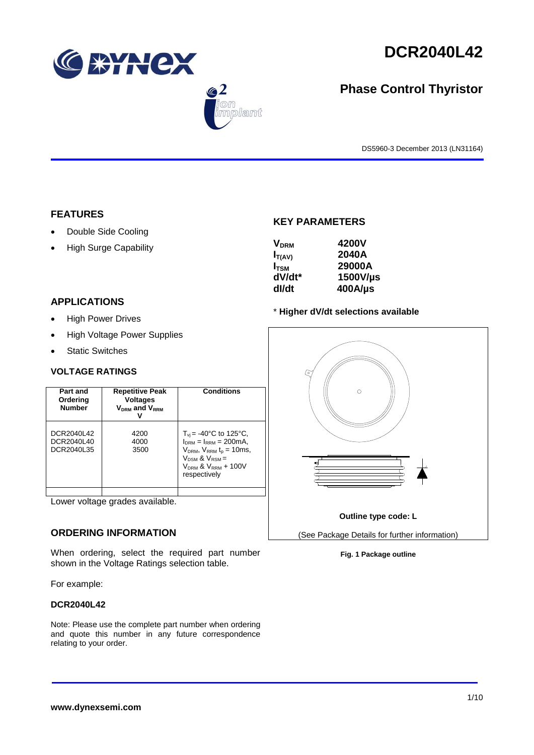

 $\bigcirc$  2

lant

# **DCR2040L42**

## **Phase Control Thyristor**

DS5960-3 December 2013 (LN31164)

## **FEATURES**

- Double Side Cooling
- High Surge Capability

## **APPLICATIONS**

- High Power Drives
- High Voltage Power Supplies
- Static Switches

## **VOLTAGE RATINGS**

| Part and<br>Ordering<br><b>Number</b>  | <b>Repetitive Peak</b><br><b>Voltages</b><br>$V_{DRM}$ and $V_{RRM}$ | <b>Conditions</b>                                                                                                                                                                           |
|----------------------------------------|----------------------------------------------------------------------|---------------------------------------------------------------------------------------------------------------------------------------------------------------------------------------------|
| DCR2040L42<br>DCR2040L40<br>DCR2040L35 | 4200<br>4000<br>3500                                                 | $T_{\rm vi}$ = -40°C to 125°C,<br>$I_{DRM} = I_{RRM} = 200 \text{mA}$ ,<br>$V_{DRM}$ , $V_{RRM}$ $t_{p}$ = 10ms,<br>$V_{DSM}$ & $V_{RSM}$ =<br>$V_{DRM}$ & $V_{RRM}$ + 100V<br>respectively |
|                                        |                                                                      |                                                                                                                                                                                             |

Lower voltage grades available.

## **ORDERING INFORMATION**

When ordering, select the required part number shown in the Voltage Ratings selection table.

For example:

### **DCR2040L42**

Note: Please use the complete part number when ordering and quote this number in any future correspondence relating to your order.

## **KEY PARAMETERS**

| <b>V<sub>DRM</sub></b><br>$I_{T(AV)}$<br>$I_{\text{TSM}}$<br>dV/dt* | 4200V<br>2040A<br>29000A<br>1500V/µs |
|---------------------------------------------------------------------|--------------------------------------|
|                                                                     |                                      |
| dl/dt                                                               | $400$ A/µs                           |

### \* **Higher dV/dt selections available**



**Fig. 1 Package outline**

**www.dynexsemi.com**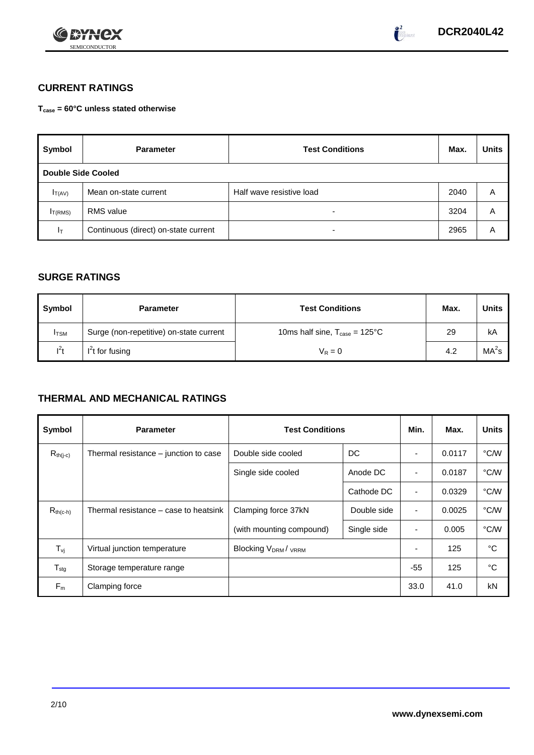



## **CURRENT RATINGS**

**Tcase = 60°C unless stated otherwise**

| Symbol                    | <b>Parameter</b>                     | <b>Test Conditions</b>   | Max. | <b>Units</b> |
|---------------------------|--------------------------------------|--------------------------|------|--------------|
| <b>Double Side Cooled</b> |                                      |                          |      |              |
| $I_{T(AV)}$               | Mean on-state current                | Half wave resistive load | 2040 | A            |
| I <sub>T(RMS)</sub>       | <b>RMS</b> value                     | -                        | 3204 | Α            |
| Iт                        | Continuous (direct) on-state current |                          | 2965 | Α            |

## **SURGE RATINGS**

| Symbol      | <b>Parameter</b>                        | <b>Test Conditions</b>                           | Max. | Units             |
|-------------|-----------------------------------------|--------------------------------------------------|------|-------------------|
| <b>ITSM</b> | Surge (non-repetitive) on-state current | 10ms half sine, $T_{\text{case}} = 125^{\circ}C$ | 29   | kA                |
| $I^2t$      | $I2t$ for fusing                        | $V_R = 0$                                        | 4.2  | MA <sup>2</sup> s |

## **THERMAL AND MECHANICAL RATINGS**

| Symbol           | <b>Parameter</b>                      |                                             | <b>Test Conditions</b> |                          | Max.   | <b>Units</b> |
|------------------|---------------------------------------|---------------------------------------------|------------------------|--------------------------|--------|--------------|
| $R_{th(j-c)}$    | Thermal resistance – junction to case | Double side cooled                          | DC                     |                          | 0.0117 | °C/W         |
|                  |                                       | Single side cooled                          | Anode DC               |                          | 0.0187 | °C/W         |
|                  |                                       |                                             | Cathode DC             | $\overline{\phantom{a}}$ | 0.0329 | °C/W         |
| $R_{th(c-h)}$    | Thermal resistance – case to heatsink | Clamping force 37kN                         | Double side            | $\blacksquare$           | 0.0025 | °C/W         |
|                  |                                       | (with mounting compound)                    | Single side            |                          | 0.005  | °C/W         |
| $T_{\rm vj}$     | Virtual junction temperature          | Blocking V <sub>DRM</sub> / <sub>VRRM</sub> |                        |                          | 125    | °C           |
| $T_{\text{stg}}$ | Storage temperature range             |                                             |                        | -55                      | 125    | °C           |
| $F_m$            | Clamping force                        |                                             |                        | 33.0                     | 41.0   | kN           |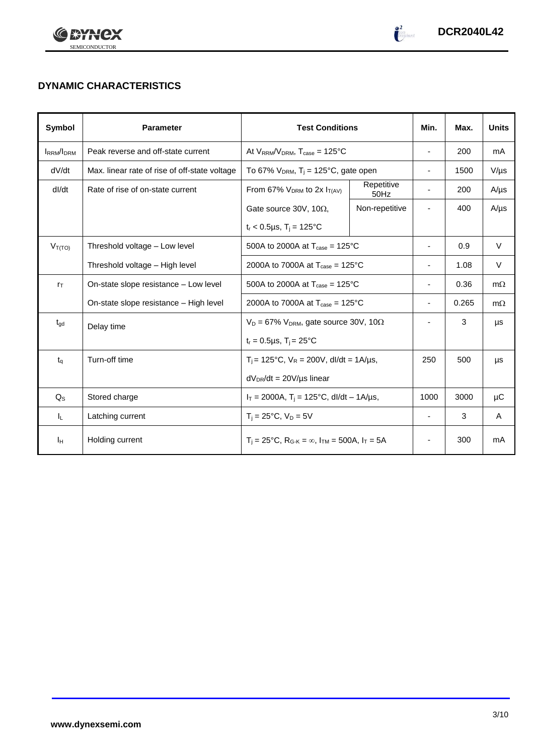



## **DYNAMIC CHARACTERISTICS**

| Symbol           | <b>Parameter</b>                              | <b>Test Conditions</b>                                                  |                    | Min.                     | Max.  | <b>Units</b> |
|------------------|-----------------------------------------------|-------------------------------------------------------------------------|--------------------|--------------------------|-------|--------------|
| <b>IRRM/IDRM</b> | Peak reverse and off-state current            | At $V_{RRM}/V_{DRM}$ , $T_{case} = 125^{\circ}C$                        |                    | ä,                       | 200   | mA           |
| dV/dt            | Max. linear rate of rise of off-state voltage | To 67% $V_{DRM}$ , T <sub>i</sub> = 125°C, gate open                    |                    | ٠                        | 1500  | $V/\mu s$    |
| dl/dt            | Rate of rise of on-state current              | From 67% $V_{DRM}$ to 2x $I_{T(AV)}$                                    | Repetitive<br>50Hz |                          | 200   | $A/\mu s$    |
|                  |                                               | Gate source 30V, 10 $\Omega$ ,                                          | Non-repetitive     |                          | 400   | $A/\mu s$    |
|                  |                                               | $t_r$ < 0.5µs, $T_i$ = 125°C                                            |                    |                          |       |              |
| $V_{T(TO)}$      | Threshold voltage - Low level                 | 500A to 2000A at $T_{\text{case}} = 125^{\circ}$ C                      |                    | -                        | 0.9   | $\vee$       |
|                  | Threshold voltage - High level                | 2000A to 7000A at $T_{\text{case}} = 125^{\circ}$ C                     |                    |                          | 1.08  | V            |
| $r_{\text{T}}$   | On-state slope resistance - Low level         | 500A to 2000A at $T_{\text{case}} = 125^{\circ}$ C                      |                    | ٠                        | 0.36  | $m\Omega$    |
|                  | On-state slope resistance - High level        | 2000A to 7000A at $T_{\text{case}} = 125^{\circ} \text{C}$              |                    | ٠                        | 0.265 | $m\Omega$    |
| $t_{\text{gd}}$  | Delay time                                    | $V_D = 67\% V_{DRM}$ , gate source 30V, 10 $\Omega$                     |                    |                          | 3     | μs           |
|                  |                                               | $t_r = 0.5 \mu s$ , $T_i = 25^{\circ}C$                                 |                    |                          |       |              |
| $t_{\alpha}$     | Turn-off time                                 | $T_i$ = 125°C, $V_R$ = 200V, dl/dt = 1A/µs,                             |                    | 250                      | 500   | μs           |
|                  |                                               | $dV_{DR}/dt = 20V/\mu s$ linear                                         |                    |                          |       |              |
| $Q_{\rm S}$      | Stored charge                                 | $I_T = 2000A$ , $T_i = 125^{\circ}C$ , dl/dt – 1A/µs,                   |                    | 1000                     | 3000  | μC           |
| ΙL.              | Latching current                              | $T_i = 25^{\circ}C$ , $V_D = 5V$                                        |                    | $\overline{\phantom{0}}$ | 3     | A            |
| Īн               | Holding current                               | $T_i = 25^{\circ}C$ , $R_{G-K} = \infty$ , $I_{TM} = 500A$ , $I_T = 5A$ |                    |                          | 300   | mA           |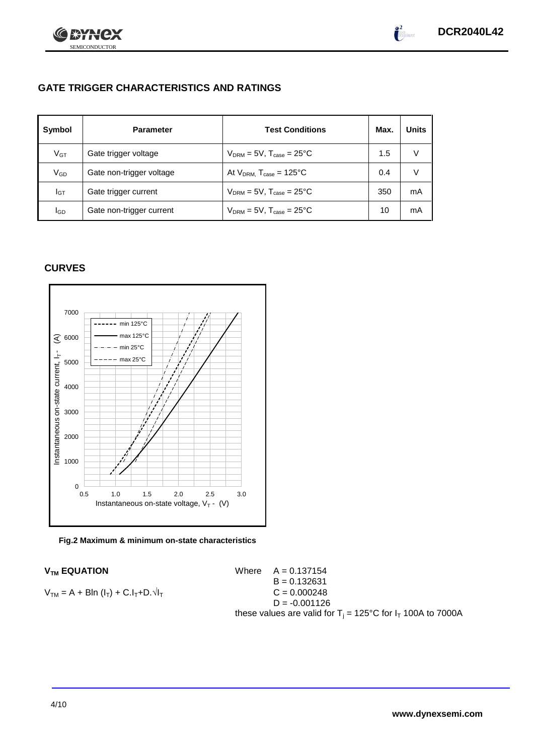

 $\int_{0}^{2}$ 

## **GATE TRIGGER CHARACTERISTICS AND RATINGS**

| Symbol   | <b>Parameter</b>         | <b>Test Conditions</b>                   | Max. | Units |
|----------|--------------------------|------------------------------------------|------|-------|
| $V_{GT}$ | Gate trigger voltage     | $V_{DRM}$ = 5V, $T_{case}$ = 25°C        | 1.5  |       |
| VGD      | Gate non-trigger voltage | At $V_{DRM}$ , $T_{case} = 125^{\circ}C$ | 0.4  |       |
| IGТ      | Gate trigger current     | $V_{DRM}$ = 5V, $T_{case}$ = 25°C        | 350  | mA    |
| lgp      | Gate non-trigger current | $V_{DRM}$ = 5V, $T_{case}$ = 25°C        | 10   | mA    |

## **CURVES**



#### **Fig.2 Maximum & minimum on-state characteristics**

**V<sub>TM</sub> EQUATION** 

 $V_{TM} = A + BIn (I_T) + C.I_T + D.\sqrt{I_T}$ 

Where 
$$
A = 0.137154
$$
  
\n $B = 0.132631$   
\n $C = 0.000248$   
\n $D = -0.001126$   
\nthese values are valid for T<sub>j</sub> = 125°C for I<sub>T</sub> 100A to 7000A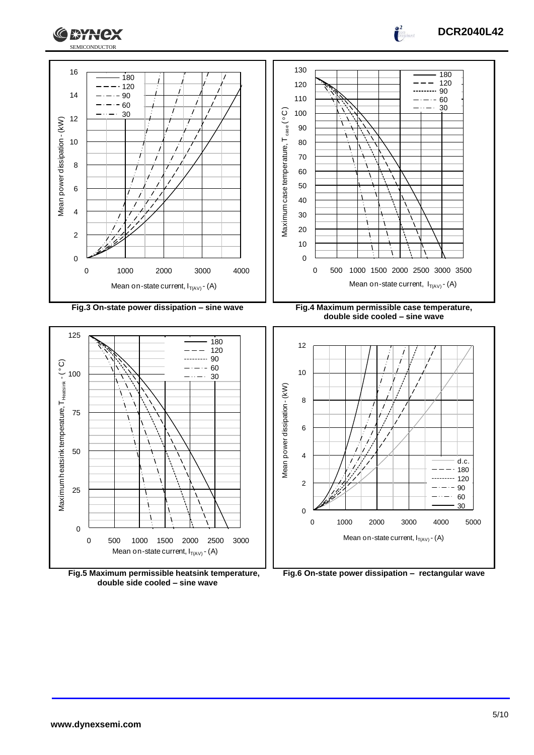





**double side cooled – sine wave**



**Fig.6 On-state power dissipation – rectangular wave**

 $\int_0^2$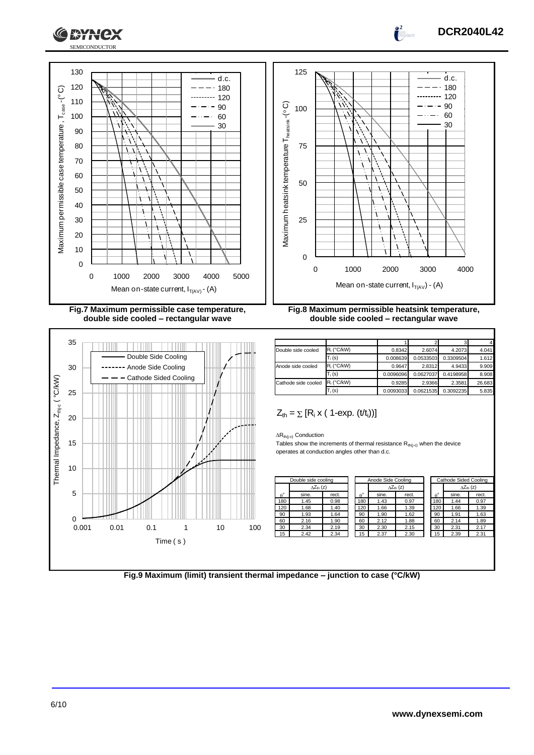

**Fig.7 Maximum permissible case temperature, double side cooled – rectangular wave**



**Fig.8 Maximum permissible heatsink temperature, double side cooled – rectangular wave**

| Double side cooled  | $R_i$ (°C/kW) | 0.8342    | 2.6074    | 4.2073    | 4.041  |
|---------------------|---------------|-----------|-----------|-----------|--------|
|                     | $T_i(s)$      | 0.008639  | 0.0533503 | 0.3309504 | 1.612  |
| Anode side cooled   | $R_i$ (°C/kW) | 0.9647    | 2.8312    | 4.9433    | 9.909  |
|                     | $T_i(s)$      | 0.0096096 | 0.0627037 | 0.4198958 | 8.908  |
| Cathode side cooled | R. (°C/kW)    | 0.9285    | 2.9366    | 2.3581    | 26.683 |
|                     | $T_i$ (s)     | 0.0093033 | 0.0621535 | 0.3092235 | 5.835  |

$$
Z_{th} = \sum [R_i \times (1-\exp. (t/t_i))]
$$

 $\Delta R_{th(j-c)}$  Conduction

Tables show the increments of thermal resistance  $R_{th(j-c)}$  when the device operates at conduction angles other than d.c.

|             | Double side cooling       |       | Anode Side Cooling |       |                            |                  | Cathode Sided Cooling |                           |  |
|-------------|---------------------------|-------|--------------------|-------|----------------------------|------------------|-----------------------|---------------------------|--|
|             | $\Delta Z_{\text{th}}(z)$ |       |                    |       | $\Delta Z_{\text{th}}$ (z) |                  |                       | $\Delta Z_{\text{th}}(z)$ |  |
| $A^{\circ}$ | sine.                     | rect. | $\theta^{\circ}$   | sine. | rect.                      | $\theta^{\circ}$ | sine.                 | rect.                     |  |
| 180         | 1.45                      | 0.98  | 180                | 1.43  | 0.97                       | 180              | 1.44                  | 0.97                      |  |
| 120         | 1.68                      | 1.40  | 120                | 1.66  | 1.39                       | 120              | 1.66                  | 1.39                      |  |
| 90          | 1.93                      | 1.64  | 90                 | 1.90  | 1.62                       | 90               | 1.91                  | 1.63                      |  |
| 60          | 2.16                      | 1.90  | 60                 | 2.12  | 1.88                       | 60               | 2.14                  | 1.89                      |  |
| 30          | 2.34                      | 2.19  | 30                 | 2.30  | 2.15                       | 30               | 2.31                  | 2.17                      |  |
| 15          | 2.42                      | 2.34  | 15                 | 2.37  | 2.30                       | 15               | 2.39                  | 2.31                      |  |
|             |                           |       |                    |       |                            |                  |                       |                           |  |

| Cathode Sided Cooling |                           |       |  |
|-----------------------|---------------------------|-------|--|
|                       | $\Delta Z_{\text{th}}(z)$ |       |  |
| $\theta^{\circ}$      | sine.                     | rect. |  |
| 180                   | 1.44                      | 0.97  |  |
| 120                   | 1.66                      | 1.39  |  |
| 90                    | 1.91                      | 1.63  |  |
| 60                    | 2.14                      | 1.89  |  |
| 30                    | 2.31                      | 2.17  |  |
| 15                    | 2.39                      | 2.31  |  |

**Fig.9 Maximum (limit) transient thermal impedance – junction to case (°C/kW)**

6/10



d.c.  $-180$  $-120$ 90 60 30

 $\overline{a}$  $\overline{\phantom{a}}$ 

 $\int_0^2$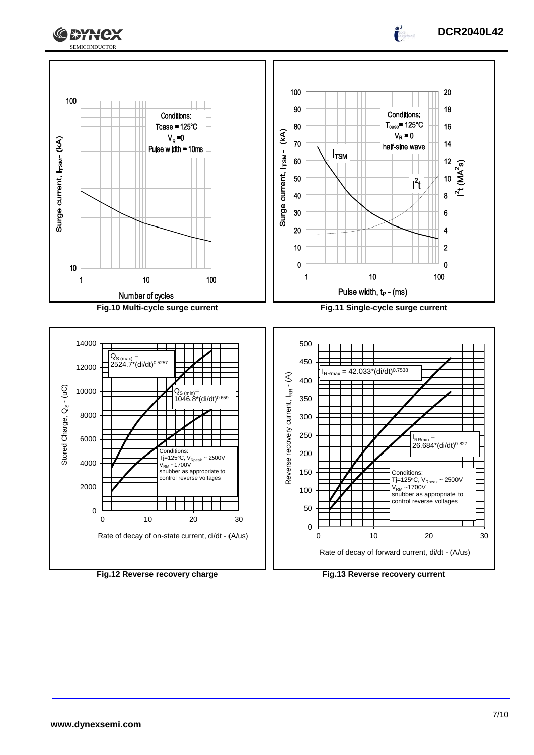

 $\int_0^2$ 

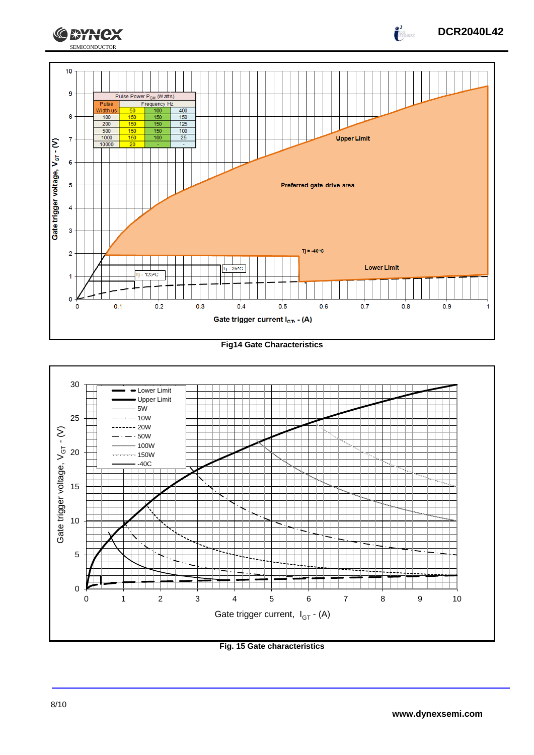

**Fig14 Gate Characteristics**



**Fig. 15 Gate characteristics**

**DCR2040L42**

 $\int_{0}^{2}$ 

CEYNEX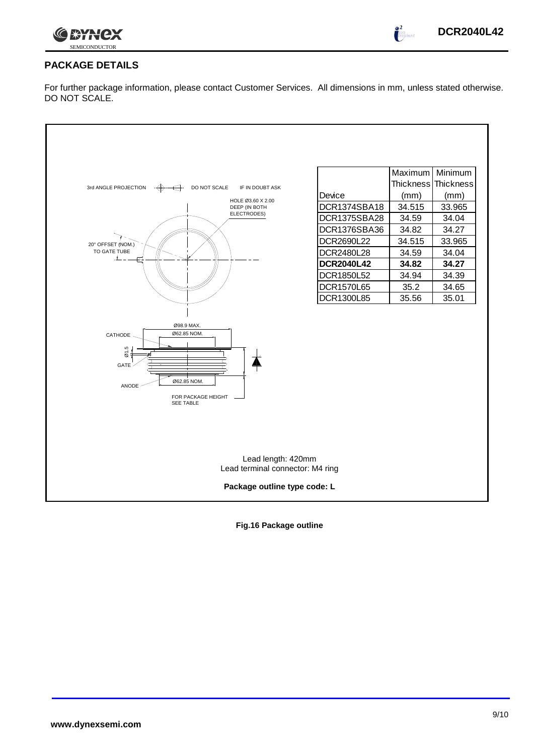

 $\int_{0}^{2}$ 

## **PACKAGE DETAILS**

For further package information, please contact Customer Services. All dimensions in mm, unless stated otherwise. DO NOT SCALE.

| 3rd ANGLE PROJECTION<br>DO NOT SCALE<br>IF IN DOUBT ASK<br>$\leftrightarrow$<br>HOLE Ø3.60 X 2.00<br>DEEP (IN BOTH<br>ELECTRODES)<br>20° OFFSET (NOM.)<br>TO GATE TUBE<br>Ø98.9 MAX.<br>Ø62.85 NOM.<br>CATHODE<br>$\overline{\omega}$ 1.5<br>GATE<br>Ø62.85 NOM.<br>ANODE<br>FOR PACKAGE HEIGHT<br><b>SEE TABLE</b> | Device<br>DCR1374SBA18<br>DCR1375SBA28<br>DCR1376SBA36<br>DCR2690L22<br>DCR2480L28<br><b>DCR2040L42</b><br>DCR1850L52<br>DCR1570L65<br>DCR1300L85 | Maximum<br><b>Thickness</b><br>(mm)<br>34.515<br>34.59<br>34.82<br>34.515<br>34.59<br>34.82<br>34.94<br>35.2<br>35.56 | Minimum<br><b>Thickness</b><br>(mm)<br>33.965<br>34.04<br>34.27<br>33.965<br>34.04<br>34.27<br>34.39<br>34.65<br>35.01 |  |
|---------------------------------------------------------------------------------------------------------------------------------------------------------------------------------------------------------------------------------------------------------------------------------------------------------------------|---------------------------------------------------------------------------------------------------------------------------------------------------|-----------------------------------------------------------------------------------------------------------------------|------------------------------------------------------------------------------------------------------------------------|--|
| Lead length: 420mm<br>Lead terminal connector: M4 ring<br>Package outline type code: L                                                                                                                                                                                                                              |                                                                                                                                                   |                                                                                                                       |                                                                                                                        |  |

**Fig.16 Package outline**